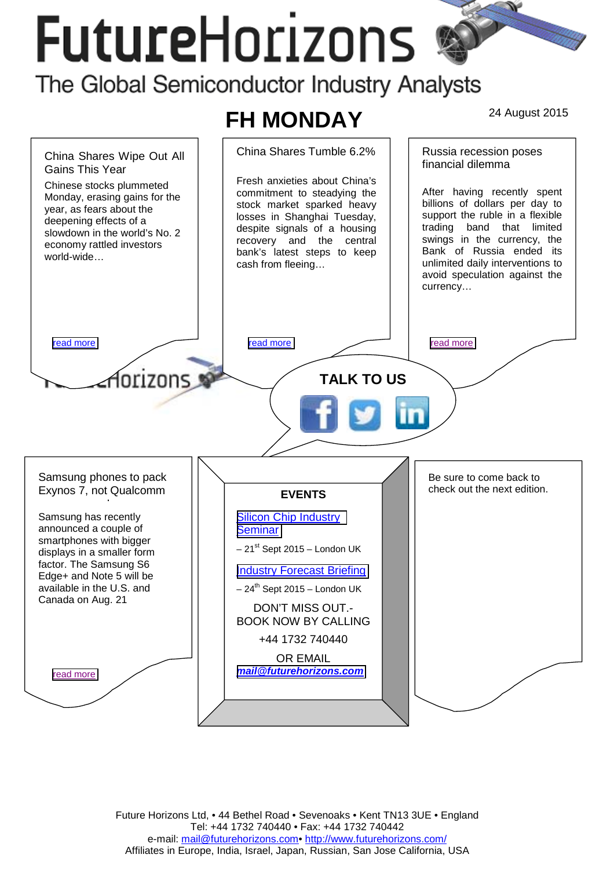# **FutureHorizons**

The Global Semiconductor Industry Analysts

## **FH MONDAY** 24 August 2015



Future Horizons Ltd, • 44 Bethel Road • Sevenoaks • Kent TN13 3UE • England Tel: +44 1732 740440 • Fax: +44 1732 740442 e-mail: mail@futurehorizons.com• http://www.futurehorizons.com/ Affiliates in Europe, India, Israel, Japan, Russian, San Jose California, USA